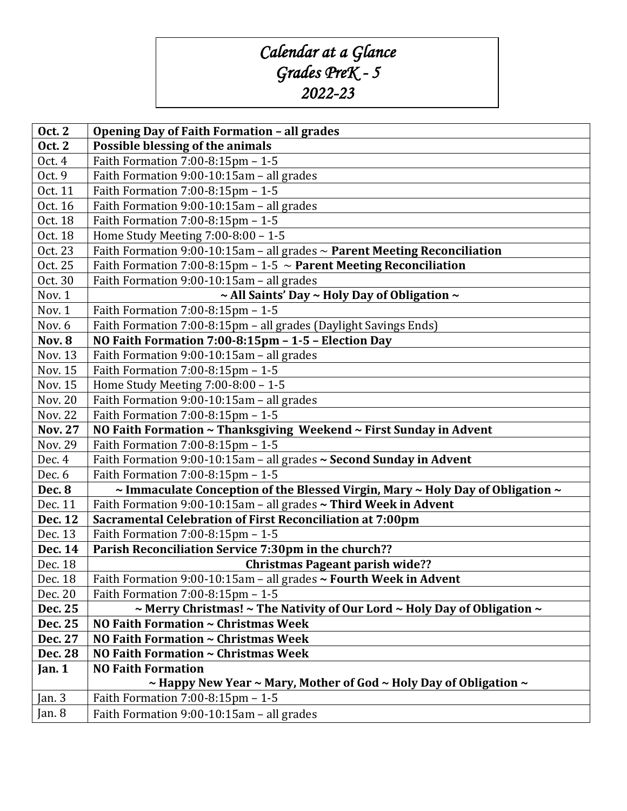## *Calendar at a Glance Grades PreK - 5 2022-23*

| <b>Oct. 2</b>      | <b>Opening Day of Faith Formation - all grades</b>                                                               |
|--------------------|------------------------------------------------------------------------------------------------------------------|
| <b>Oct. 2</b>      | Possible blessing of the animals                                                                                 |
| Oct. 4             | Faith Formation 7:00-8:15pm - 1-5                                                                                |
| Oct. 9             | Faith Formation 9:00-10:15am - all grades                                                                        |
| Oct. 11            | Faith Formation 7:00-8:15pm - 1-5                                                                                |
| Oct. 16            | Faith Formation 9:00-10:15am - all grades                                                                        |
| Oct. 18            | Faith Formation 7:00-8:15pm - 1-5                                                                                |
| Oct. 18            | Home Study Meeting 7:00-8:00 - 1-5                                                                               |
| Oct. 23            | Faith Formation 9:00-10:15am - all grades $\sim$ Parent Meeting Reconciliation                                   |
| Oct. 25            | Faith Formation 7:00-8:15pm - 1-5 $\sim$ Parent Meeting Reconciliation                                           |
| Oct. 30            | Faith Formation 9:00-10:15am - all grades                                                                        |
| Nov. 1             | ~ All Saints' Day ~ Holy Day of Obligation ~                                                                     |
| Nov. 1             | Faith Formation 7:00-8:15pm - 1-5                                                                                |
| Nov. 6             | Faith Formation 7:00-8:15pm - all grades (Daylight Savings Ends)                                                 |
| <b>Nov. 8</b>      | NO Faith Formation 7:00-8:15pm - 1-5 - Election Day                                                              |
| <b>Nov. 13</b>     | Faith Formation 9:00-10:15am - all grades                                                                        |
| <b>Nov. 15</b>     | Faith Formation 7:00-8:15pm - 1-5                                                                                |
| Nov. 15            | Home Study Meeting 7:00-8:00 - 1-5                                                                               |
| <b>Nov. 20</b>     | Faith Formation 9:00-10:15am - all grades                                                                        |
| <b>Nov. 22</b>     | Faith Formation 7:00-8:15pm - 1-5                                                                                |
| <b>Nov. 27</b>     | NO Faith Formation ~ Thanksgiving Weekend ~ First Sunday in Advent                                               |
| <b>Nov. 29</b>     | Faith Formation 7:00-8:15pm - 1-5                                                                                |
| Dec. 4             | Faith Formation 9:00-10:15am - all grades ~ Second Sunday in Advent                                              |
| Dec. 6             | Faith Formation 7:00-8:15pm - 1-5                                                                                |
| <b>Dec. 8</b>      | ~ Immaculate Conception of the Blessed Virgin, Mary ~ Holy Day of Obligation ~                                   |
| Dec. 11            | Faith Formation 9:00-10:15am - all grades ~ Third Week in Advent                                                 |
| <b>Dec. 12</b>     | Sacramental Celebration of First Reconciliation at 7:00pm                                                        |
| Dec. 13            | Faith Formation 7:00-8:15pm - 1-5                                                                                |
| Dec. 14            | Parish Reconciliation Service 7:30pm in the church??                                                             |
| Dec. 18            | <b>Christmas Pageant parish wide??</b>                                                                           |
| Dec. 18            | Faith Formation 9:00-10:15am - all grades ~ Fourth Week in Advent                                                |
| Dec. 20<br>Dec. 25 | Faith Formation $7:00-8:15$ pm - 1-5<br>~ Merry Christmas! ~ The Nativity of Our Lord ~ Holy Day of Obligation ~ |
| Dec. 25            | NO Faith Formation ~ Christmas Week                                                                              |
| Dec. 27            | NO Faith Formation ~ Christmas Week                                                                              |
| <b>Dec. 28</b>     | NO Faith Formation ~ Christmas Week                                                                              |
| Jan. $1$           | <b>NO Faith Formation</b>                                                                                        |
|                    | ~ Happy New Year ~ Mary, Mother of God ~ Holy Day of Obligation ~                                                |
| Jan. 3             | Faith Formation $7:00-8:15$ pm - 1-5                                                                             |
| Jan. 8             | Faith Formation 9:00-10:15am - all grades                                                                        |